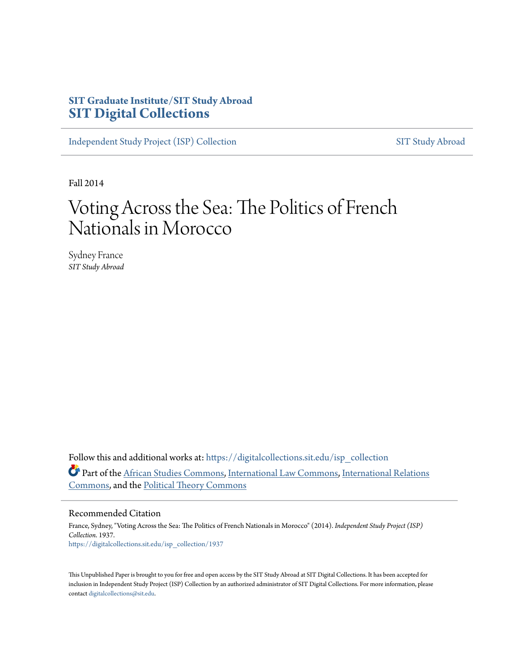# **SIT Graduate Institute/SIT Study Abroad [SIT Digital Collections](https://digitalcollections.sit.edu?utm_source=digitalcollections.sit.edu%2Fisp_collection%2F1937&utm_medium=PDF&utm_campaign=PDFCoverPages)**

[Independent Study Project \(ISP\) Collection](https://digitalcollections.sit.edu/isp_collection?utm_source=digitalcollections.sit.edu%2Fisp_collection%2F1937&utm_medium=PDF&utm_campaign=PDFCoverPages) [SIT Study Abroad](https://digitalcollections.sit.edu/study_abroad?utm_source=digitalcollections.sit.edu%2Fisp_collection%2F1937&utm_medium=PDF&utm_campaign=PDFCoverPages)

Fall 2014

# Voting Across the Sea: The Politics of French Nationals in Morocco

Sydney France *SIT Study Abroad*

Follow this and additional works at: [https://digitalcollections.sit.edu/isp\\_collection](https://digitalcollections.sit.edu/isp_collection?utm_source=digitalcollections.sit.edu%2Fisp_collection%2F1937&utm_medium=PDF&utm_campaign=PDFCoverPages) Part of the [African Studies Commons](http://network.bepress.com/hgg/discipline/1043?utm_source=digitalcollections.sit.edu%2Fisp_collection%2F1937&utm_medium=PDF&utm_campaign=PDFCoverPages), [International Law Commons,](http://network.bepress.com/hgg/discipline/609?utm_source=digitalcollections.sit.edu%2Fisp_collection%2F1937&utm_medium=PDF&utm_campaign=PDFCoverPages) [International Relations](http://network.bepress.com/hgg/discipline/389?utm_source=digitalcollections.sit.edu%2Fisp_collection%2F1937&utm_medium=PDF&utm_campaign=PDFCoverPages) [Commons,](http://network.bepress.com/hgg/discipline/389?utm_source=digitalcollections.sit.edu%2Fisp_collection%2F1937&utm_medium=PDF&utm_campaign=PDFCoverPages) and the [Political Theory Commons](http://network.bepress.com/hgg/discipline/391?utm_source=digitalcollections.sit.edu%2Fisp_collection%2F1937&utm_medium=PDF&utm_campaign=PDFCoverPages)

#### Recommended Citation

France, Sydney, "Voting Across the Sea: The Politics of French Nationals in Morocco" (2014). *Independent Study Project (ISP) Collection*. 1937. [https://digitalcollections.sit.edu/isp\\_collection/1937](https://digitalcollections.sit.edu/isp_collection/1937?utm_source=digitalcollections.sit.edu%2Fisp_collection%2F1937&utm_medium=PDF&utm_campaign=PDFCoverPages)

This Unpublished Paper is brought to you for free and open access by the SIT Study Abroad at SIT Digital Collections. It has been accepted for inclusion in Independent Study Project (ISP) Collection by an authorized administrator of SIT Digital Collections. For more information, please contact [digitalcollections@sit.edu](mailto:digitalcollections@sit.edu).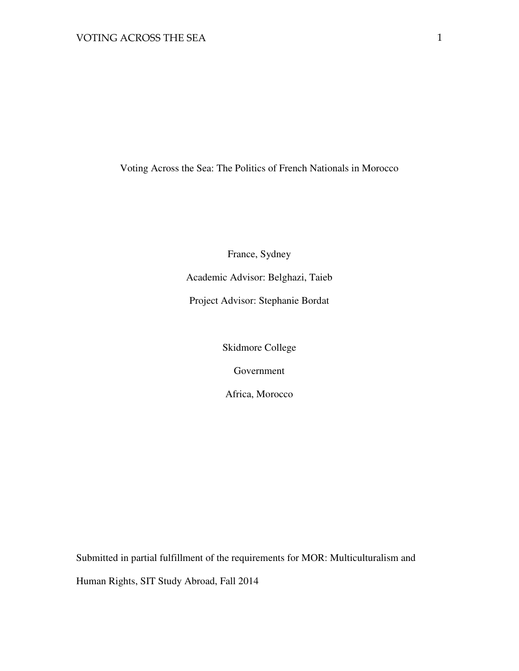Voting Across the Sea: The Politics of French Nationals in Morocco

France, Sydney

Academic Advisor: Belghazi, Taieb

Project Advisor: Stephanie Bordat

Skidmore College

Government

Africa, Morocco

Submitted in partial fulfillment of the requirements for MOR: Multiculturalism and Human Rights, SIT Study Abroad, Fall 2014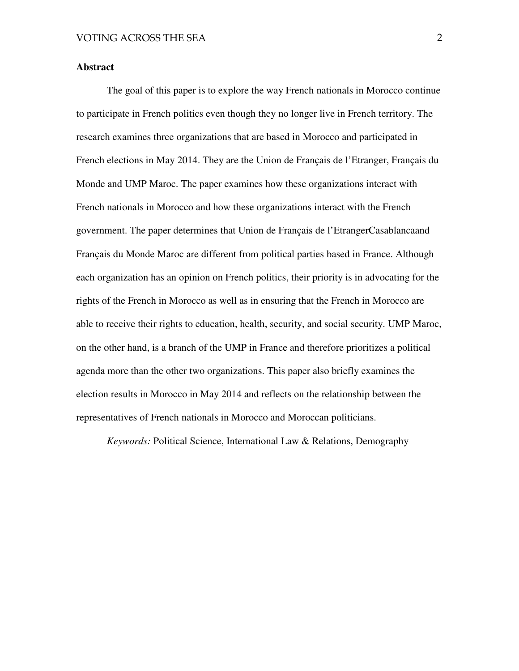#### **Abstract**

The goal of this paper is to explore the way French nationals in Morocco continue to participate in French politics even though they no longer live in French territory. The research examines three organizations that are based in Morocco and participated in French elections in May 2014. They are the Union de Français de l'Etranger, Français du Monde and UMP Maroc. The paper examines how these organizations interact with French nationals in Morocco and how these organizations interact with the French government. The paper determines that Union de Français de l'EtrangerCasablancaand Français du Monde Maroc are different from political parties based in France. Although each organization has an opinion on French politics, their priority is in advocating for the rights of the French in Morocco as well as in ensuring that the French in Morocco are able to receive their rights to education, health, security, and social security. UMP Maroc, on the other hand, is a branch of the UMP in France and therefore prioritizes a political agenda more than the other two organizations. This paper also briefly examines the election results in Morocco in May 2014 and reflects on the relationship between the representatives of French nationals in Morocco and Moroccan politicians.

*Keywords:* Political Science, International Law & Relations, Demography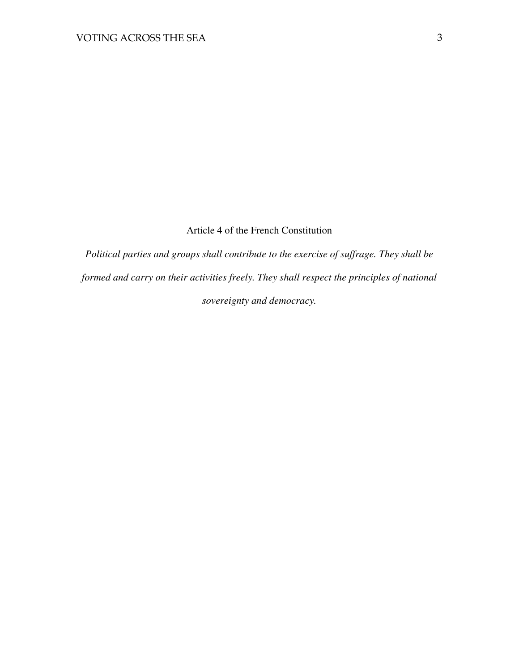## Article 4 of the French Constitution

*Political parties and groups shall contribute to the exercise of suffrage. They shall be formed and carry on their activities freely. They shall respect the principles of national sovereignty and democracy.*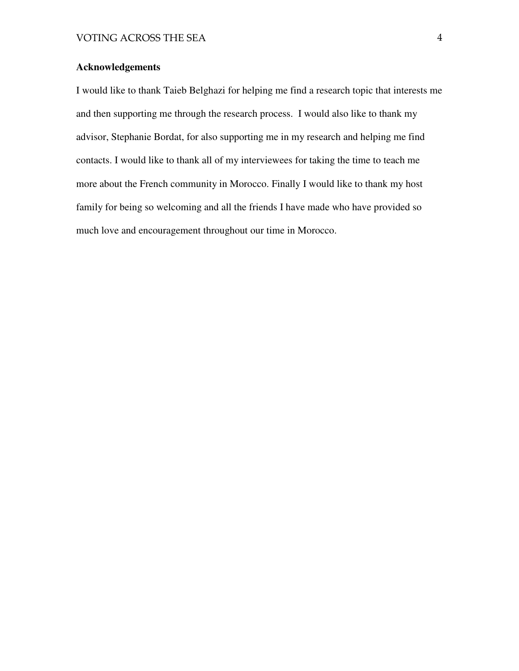## **Acknowledgements**

I would like to thank Taieb Belghazi for helping me find a research topic that interests me and then supporting me through the research process. I would also like to thank my advisor, Stephanie Bordat, for also supporting me in my research and helping me find contacts. I would like to thank all of my interviewees for taking the time to teach me more about the French community in Morocco. Finally I would like to thank my host family for being so welcoming and all the friends I have made who have provided so much love and encouragement throughout our time in Morocco.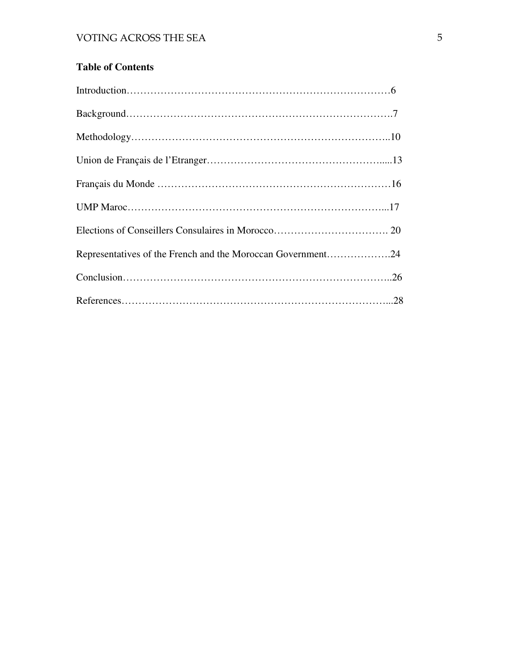## **Table of Contents**

| Representatives of the French and the Moroccan Government24 |
|-------------------------------------------------------------|
|                                                             |
|                                                             |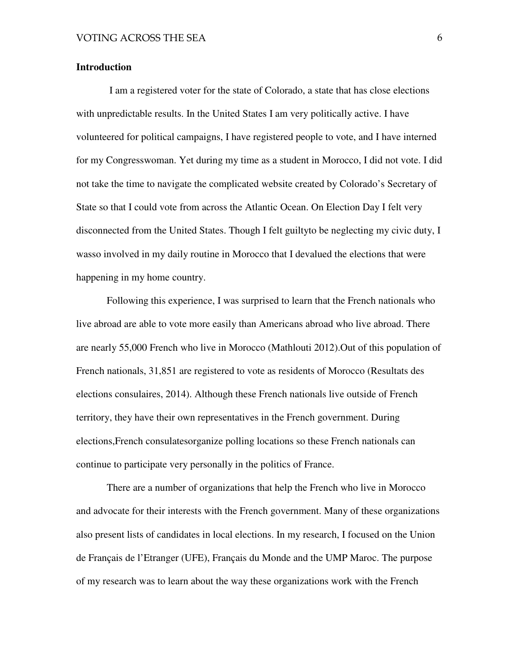#### **Introduction**

 I am a registered voter for the state of Colorado, a state that has close elections with unpredictable results. In the United States I am very politically active. I have volunteered for political campaigns, I have registered people to vote, and I have interned for my Congresswoman. Yet during my time as a student in Morocco, I did not vote. I did not take the time to navigate the complicated website created by Colorado's Secretary of State so that I could vote from across the Atlantic Ocean. On Election Day I felt very disconnected from the United States. Though I felt guiltyto be neglecting my civic duty, I wasso involved in my daily routine in Morocco that I devalued the elections that were happening in my home country.

Following this experience, I was surprised to learn that the French nationals who live abroad are able to vote more easily than Americans abroad who live abroad. There are nearly 55,000 French who live in Morocco (Mathlouti 2012).Out of this population of French nationals, 31,851 are registered to vote as residents of Morocco (Resultats des elections consulaires, 2014). Although these French nationals live outside of French territory, they have their own representatives in the French government. During elections,French consulatesorganize polling locations so these French nationals can continue to participate very personally in the politics of France.

There are a number of organizations that help the French who live in Morocco and advocate for their interests with the French government. Many of these organizations also present lists of candidates in local elections. In my research, I focused on the Union de Français de l'Etranger (UFE), Français du Monde and the UMP Maroc. The purpose of my research was to learn about the way these organizations work with the French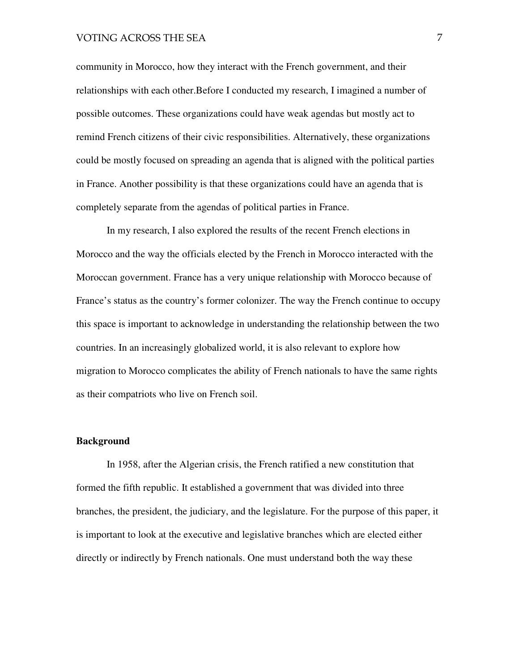community in Morocco, how they interact with the French government, and their relationships with each other.Before I conducted my research, I imagined a number of possible outcomes. These organizations could have weak agendas but mostly act to remind French citizens of their civic responsibilities. Alternatively, these organizations could be mostly focused on spreading an agenda that is aligned with the political parties in France. Another possibility is that these organizations could have an agenda that is completely separate from the agendas of political parties in France.

In my research, I also explored the results of the recent French elections in Morocco and the way the officials elected by the French in Morocco interacted with the Moroccan government. France has a very unique relationship with Morocco because of France's status as the country's former colonizer. The way the French continue to occupy this space is important to acknowledge in understanding the relationship between the two countries. In an increasingly globalized world, it is also relevant to explore how migration to Morocco complicates the ability of French nationals to have the same rights as their compatriots who live on French soil.

#### **Background**

In 1958, after the Algerian crisis, the French ratified a new constitution that formed the fifth republic. It established a government that was divided into three branches, the president, the judiciary, and the legislature. For the purpose of this paper, it is important to look at the executive and legislative branches which are elected either directly or indirectly by French nationals. One must understand both the way these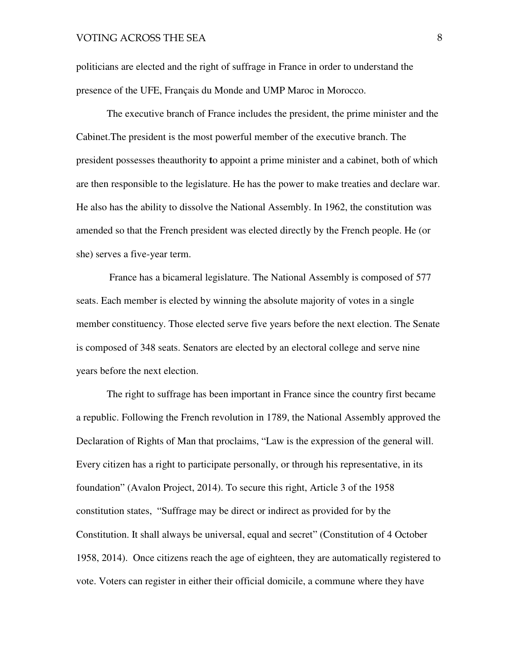politicians are elected and the right of suffrage in France in order to understand the presence of the UFE, Français du Monde and UMP Maroc in Morocco.

The executive branch of France includes the president, the prime minister and the Cabinet.The president is the most powerful member of the executive branch. The president possesses theauthority **t**o appoint a prime minister and a cabinet, both of which are then responsible to the legislature. He has the power to make treaties and declare war. He also has the ability to dissolve the National Assembly. In 1962, the constitution was amended so that the French president was elected directly by the French people. He (or she) serves a five-year term.

 France has a bicameral legislature. The National Assembly is composed of 577 seats. Each member is elected by winning the absolute majority of votes in a single member constituency. Those elected serve five years before the next election. The Senate is composed of 348 seats. Senators are elected by an electoral college and serve nine years before the next election.

The right to suffrage has been important in France since the country first became a republic. Following the French revolution in 1789, the National Assembly approved the Declaration of Rights of Man that proclaims, "Law is the expression of the general will. Every citizen has a right to participate personally, or through his representative, in its foundation" (Avalon Project, 2014). To secure this right, Article 3 of the 1958 constitution states, "Suffrage may be direct or indirect as provided for by the Constitution. It shall always be universal, equal and secret" (Constitution of 4 October 1958, 2014). Once citizens reach the age of eighteen, they are automatically registered to vote. Voters can register in either their official domicile, a commune where they have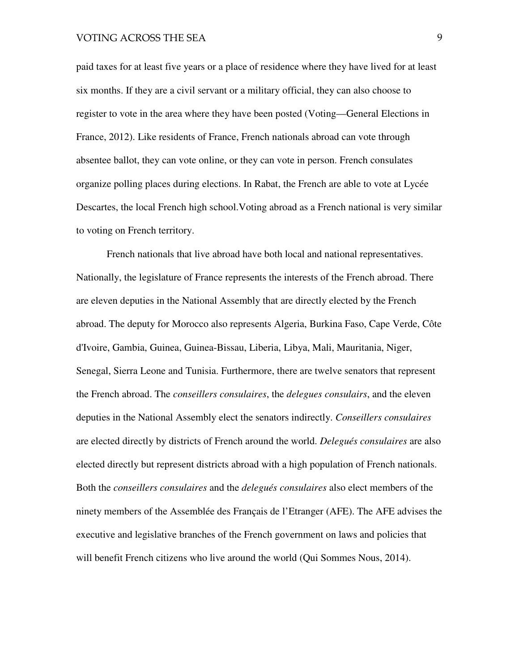paid taxes for at least five years or a place of residence where they have lived for at least six months. If they are a civil servant or a military official, they can also choose to register to vote in the area where they have been posted (Voting—General Elections in France, 2012). Like residents of France, French nationals abroad can vote through absentee ballot, they can vote online, or they can vote in person. French consulates organize polling places during elections. In Rabat, the French are able to vote at Lycée Descartes, the local French high school.Voting abroad as a French national is very similar to voting on French territory.

French nationals that live abroad have both local and national representatives. Nationally, the legislature of France represents the interests of the French abroad. There are eleven deputies in the National Assembly that are directly elected by the French abroad. The deputy for Morocco also represents Algeria, Burkina Faso, Cape Verde, Côte d'Ivoire, Gambia, Guinea, Guinea-Bissau, Liberia, Libya, Mali, Mauritania, Niger, Senegal, Sierra Leone and Tunisia. Furthermore, there are twelve senators that represent the French abroad. The *conseillers consulaires*, the *delegues consulairs*, and the eleven deputies in the National Assembly elect the senators indirectly. *Conseillers consulaires*  are elected directly by districts of French around the world. *Delegués consulaires* are also elected directly but represent districts abroad with a high population of French nationals. Both the *conseillers consulaires* and the *delegués consulaires* also elect members of the ninety members of the Assemblée des Français de l'Etranger (AFE). The AFE advises the executive and legislative branches of the French government on laws and policies that will benefit French citizens who live around the world (Qui Sommes Nous, 2014).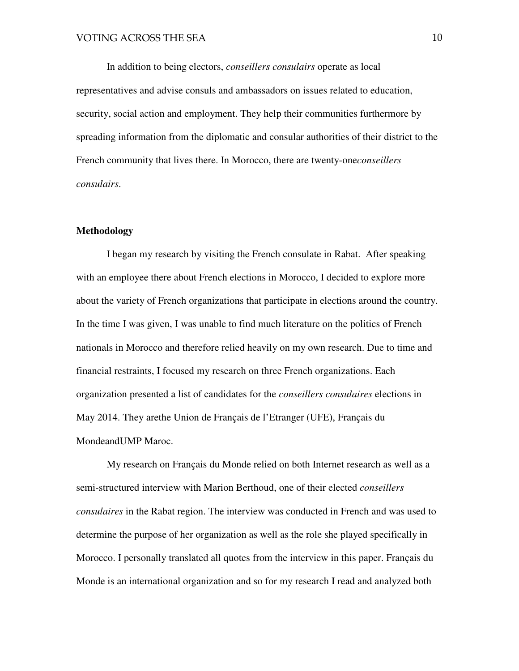In addition to being electors, *conseillers consulairs* operate as local representatives and advise consuls and ambassadors on issues related to education, security, social action and employment. They help their communities furthermore by spreading information from the diplomatic and consular authorities of their district to the French community that lives there. In Morocco, there are twenty-one*conseillers consulairs*.

#### **Methodology**

I began my research by visiting the French consulate in Rabat. After speaking with an employee there about French elections in Morocco, I decided to explore more about the variety of French organizations that participate in elections around the country. In the time I was given, I was unable to find much literature on the politics of French nationals in Morocco and therefore relied heavily on my own research. Due to time and financial restraints, I focused my research on three French organizations. Each organization presented a list of candidates for the *conseillers consulaires* elections in May 2014. They arethe Union de Français de l'Etranger (UFE), Français du MondeandUMP Maroc.

My research on Français du Monde relied on both Internet research as well as a semi-structured interview with Marion Berthoud, one of their elected *conseillers consulaires* in the Rabat region. The interview was conducted in French and was used to determine the purpose of her organization as well as the role she played specifically in Morocco. I personally translated all quotes from the interview in this paper. Français du Monde is an international organization and so for my research I read and analyzed both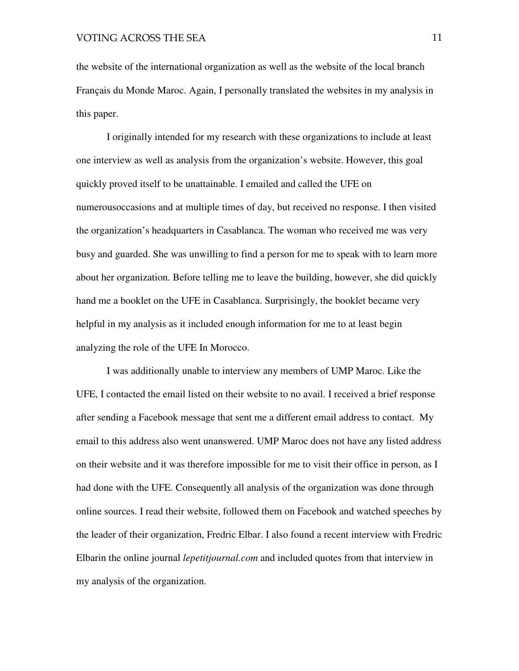the website of the international organization as well as the website of the local branch Français du Monde Maroc. Again, I personally translated the websites in my analysis in this paper.

I originally intended for my research with these organizations to include at least one interview as well as analysis from the organization's website. However, this goal quickly proved itself to be unattainable. I emailed and called the UFE on numerousoccasions and at multiple times of day, but received no response. I then visited the organization's headquarters in Casablanca. The woman who received me was very busy and guarded. She was unwilling to find a person for me to speak with to learn more about her organization. Before telling me to leave the building, however, she did quickly hand me a booklet on the UFE in Casablanca. Surprisingly, the booklet became very helpful in my analysis as it included enough information for me to at least begin analyzing the role of the UFE In Morocco.

I was additionally unable to interview any members of UMP Maroc. Like the UFE, I contacted the email listed on their website to no avail. I received a brief response after sending a Facebook message that sent me a different email address to contact. My email to this address also went unanswered. UMP Maroc does not have any listed address on their website and it was therefore impossible for me to visit their office in person, as I had done with the UFE. Consequently all analysis of the organization was done through online sources. I read their website, followed them on Facebook and watched speeches by the leader of their organization, Fredric Elbar. I also found a recent interview with Fredric Elbarin the online journal *lepetitjournal.com* and included quotes from that interview in my analysis of the organization.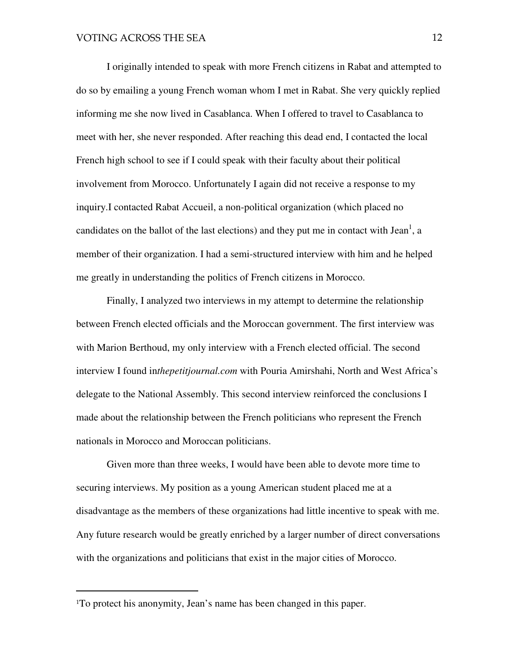I originally intended to speak with more French citizens in Rabat and attempted to do so by emailing a young French woman whom I met in Rabat. She very quickly replied informing me she now lived in Casablanca. When I offered to travel to Casablanca to meet with her, she never responded. After reaching this dead end, I contacted the local French high school to see if I could speak with their faculty about their political involvement from Morocco. Unfortunately I again did not receive a response to my inquiry.I contacted Rabat Accueil, a non-political organization (which placed no candidates on the ballot of the last elections) and they put me in contact with Jean<sup>1</sup>, a member of their organization. I had a semi-structured interview with him and he helped me greatly in understanding the politics of French citizens in Morocco.

Finally, I analyzed two interviews in my attempt to determine the relationship between French elected officials and the Moroccan government. The first interview was with Marion Berthoud, my only interview with a French elected official. The second interview I found in*thepetitjournal.com* with Pouria Amirshahi, North and West Africa's delegate to the National Assembly. This second interview reinforced the conclusions I made about the relationship between the French politicians who represent the French nationals in Morocco and Moroccan politicians.

Given more than three weeks, I would have been able to devote more time to securing interviews. My position as a young American student placed me at a disadvantage as the members of these organizations had little incentive to speak with me. Any future research would be greatly enriched by a larger number of direct conversations with the organizations and politicians that exist in the major cities of Morocco.

l.

<sup>1</sup>To protect his anonymity, Jean's name has been changed in this paper.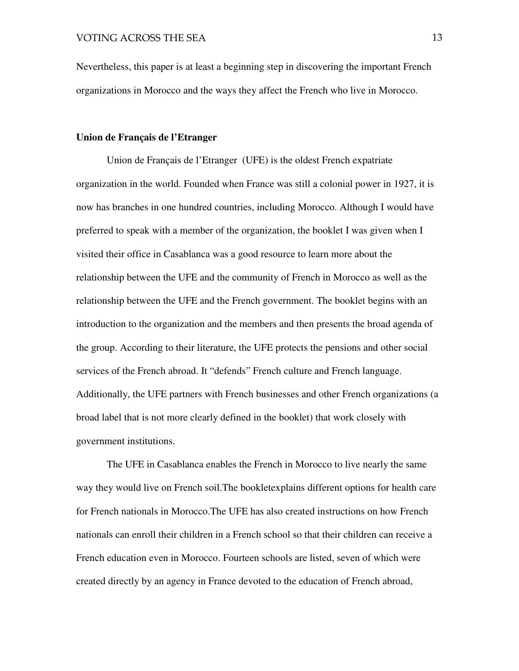Nevertheless, this paper is at least a beginning step in discovering the important French organizations in Morocco and the ways they affect the French who live in Morocco.

#### **Union de Français de l'Etranger**

Union de Français de l'Etranger (UFE) is the oldest French expatriate organization in the world. Founded when France was still a colonial power in 1927, it is now has branches in one hundred countries, including Morocco. Although I would have preferred to speak with a member of the organization, the booklet I was given when I visited their office in Casablanca was a good resource to learn more about the relationship between the UFE and the community of French in Morocco as well as the relationship between the UFE and the French government. The booklet begins with an introduction to the organization and the members and then presents the broad agenda of the group. According to their literature, the UFE protects the pensions and other social services of the French abroad. It "defends" French culture and French language. Additionally, the UFE partners with French businesses and other French organizations (a broad label that is not more clearly defined in the booklet) that work closely with government institutions.

 The UFE in Casablanca enables the French in Morocco to live nearly the same way they would live on French soil.The bookletexplains different options for health care for French nationals in Morocco.The UFE has also created instructions on how French nationals can enroll their children in a French school so that their children can receive a French education even in Morocco. Fourteen schools are listed, seven of which were created directly by an agency in France devoted to the education of French abroad,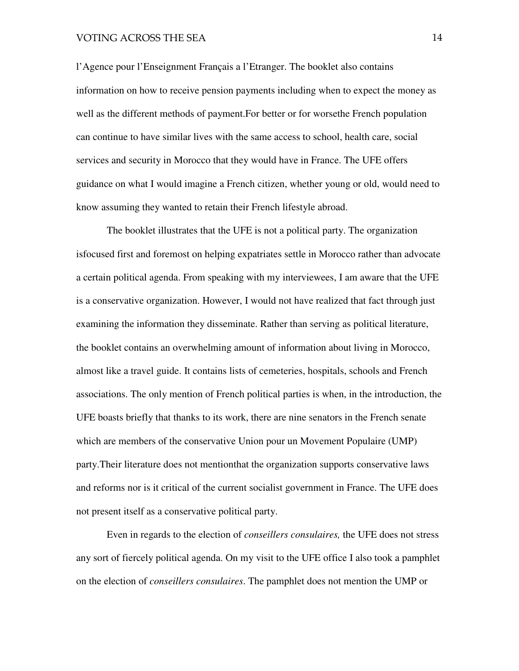l'Agence pour l'Enseignment Français a l'Etranger. The booklet also contains information on how to receive pension payments including when to expect the money as well as the different methods of payment.For better or for worsethe French population can continue to have similar lives with the same access to school, health care, social services and security in Morocco that they would have in France. The UFE offers guidance on what I would imagine a French citizen, whether young or old, would need to know assuming they wanted to retain their French lifestyle abroad.

The booklet illustrates that the UFE is not a political party. The organization isfocused first and foremost on helping expatriates settle in Morocco rather than advocate a certain political agenda. From speaking with my interviewees, I am aware that the UFE is a conservative organization. However, I would not have realized that fact through just examining the information they disseminate. Rather than serving as political literature, the booklet contains an overwhelming amount of information about living in Morocco, almost like a travel guide. It contains lists of cemeteries, hospitals, schools and French associations. The only mention of French political parties is when, in the introduction, the UFE boasts briefly that thanks to its work, there are nine senators in the French senate which are members of the conservative Union pour un Movement Populaire (UMP) party.Their literature does not mentionthat the organization supports conservative laws and reforms nor is it critical of the current socialist government in France. The UFE does not present itself as a conservative political party.

Even in regards to the election of *conseillers consulaires,* the UFE does not stress any sort of fiercely political agenda. On my visit to the UFE office I also took a pamphlet on the election of *conseillers consulaires*. The pamphlet does not mention the UMP or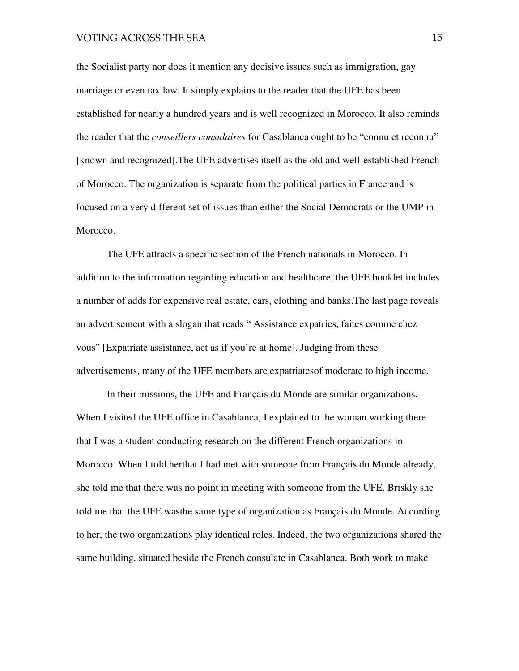the Socialist party nor does it mention any decisive issues such as immigration, gay marriage or even tax law. It simply explains to the reader that the UFE has been established for nearly a hundred years and is well recognized in Morocco. It also reminds the reader that the *conseillers consulaires* for Casablanca ought to be "connu et reconnu" [known and recognized].The UFE advertises itself as the old and well-established French of Morocco. The organization is separate from the political parties in France and is focused on a very different set of issues than either the Social Democrats or the UMP in Morocco.

The UFE attracts a specific section of the French nationals in Morocco. In addition to the information regarding education and healthcare, the UFE booklet includes a number of adds for expensive real estate, cars, clothing and banks.The last page reveals an advertisement with a slogan that reads " Assistance expatries, faites comme chez vous" [Expatriate assistance, act as if you're at home]. Judging from these advertisements, many of the UFE members are expatriatesof moderate to high income.

 In their missions, the UFE and Français du Monde are similar organizations. When I visited the UFE office in Casablanca, I explained to the woman working there that I was a student conducting research on the different French organizations in Morocco. When I told herthat I had met with someone from Français du Monde already, she told me that there was no point in meeting with someone from the UFE. Briskly she told me that the UFE wasthe same type of organization as Français du Monde. According to her, the two organizations play identical roles. Indeed, the two organizations shared the same building, situated beside the French consulate in Casablanca. Both work to make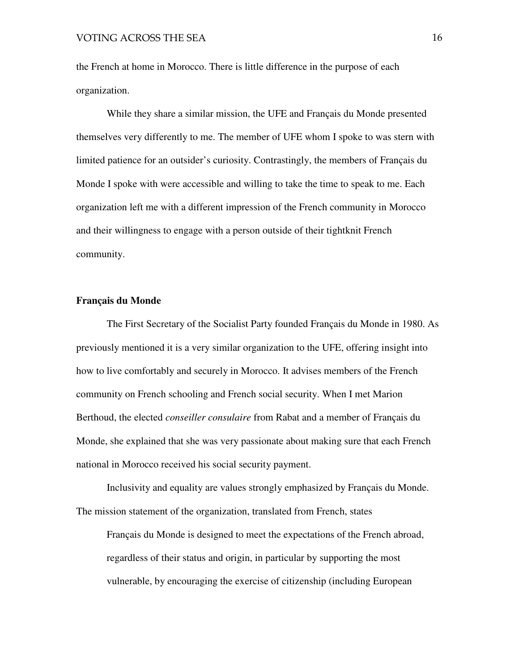the French at home in Morocco. There is little difference in the purpose of each organization.

While they share a similar mission, the UFE and Français du Monde presented themselves very differently to me. The member of UFE whom I spoke to was stern with limited patience for an outsider's curiosity. Contrastingly, the members of Français du Monde I spoke with were accessible and willing to take the time to speak to me. Each organization left me with a different impression of the French community in Morocco and their willingness to engage with a person outside of their tightknit French community.

#### **Français du Monde**

The First Secretary of the Socialist Party founded Français du Monde in 1980. As previously mentioned it is a very similar organization to the UFE, offering insight into how to live comfortably and securely in Morocco. It advises members of the French community on French schooling and French social security. When I met Marion Berthoud, the elected *conseiller consulaire* from Rabat and a member of Français du Monde, she explained that she was very passionate about making sure that each French national in Morocco received his social security payment.

 Inclusivity and equality are values strongly emphasized by Français du Monde. The mission statement of the organization, translated from French, states

Français du Monde is designed to meet the expectations of the French abroad, regardless of their status and origin, in particular by supporting the most vulnerable, by encouraging the exercise of citizenship (including European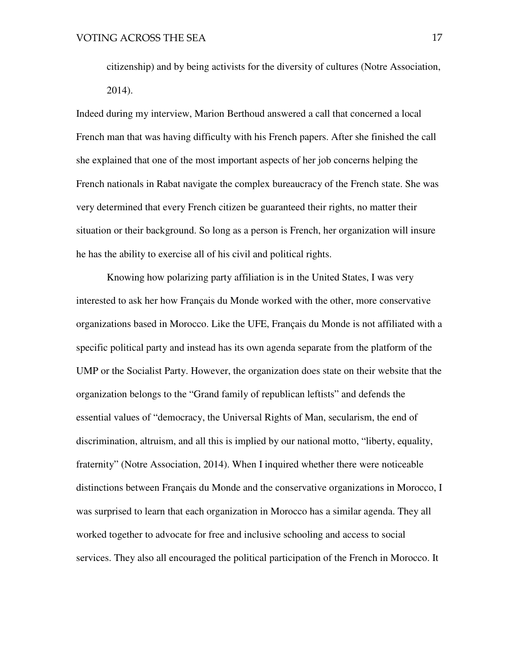citizenship) and by being activists for the diversity of cultures (Notre Association, 2014).

Indeed during my interview, Marion Berthoud answered a call that concerned a local French man that was having difficulty with his French papers. After she finished the call she explained that one of the most important aspects of her job concerns helping the French nationals in Rabat navigate the complex bureaucracy of the French state. She was very determined that every French citizen be guaranteed their rights, no matter their situation or their background. So long as a person is French, her organization will insure he has the ability to exercise all of his civil and political rights.

Knowing how polarizing party affiliation is in the United States, I was very interested to ask her how Français du Monde worked with the other, more conservative organizations based in Morocco. Like the UFE, Français du Monde is not affiliated with a specific political party and instead has its own agenda separate from the platform of the UMP or the Socialist Party. However, the organization does state on their website that the organization belongs to the "Grand family of republican leftists" and defends the essential values of "democracy, the Universal Rights of Man, secularism, the end of discrimination, altruism, and all this is implied by our national motto, "liberty, equality, fraternity" (Notre Association, 2014). When I inquired whether there were noticeable distinctions between Français du Monde and the conservative organizations in Morocco, I was surprised to learn that each organization in Morocco has a similar agenda. They all worked together to advocate for free and inclusive schooling and access to social services. They also all encouraged the political participation of the French in Morocco. It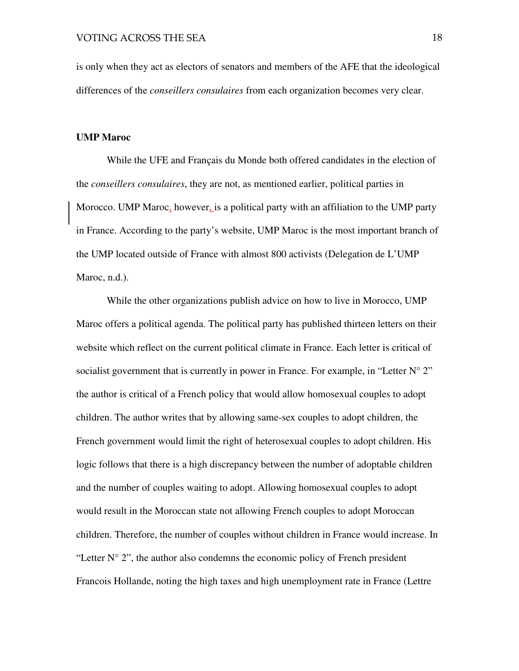is only when they act as electors of senators and members of the AFE that the ideological differences of the *conseillers consulaires* from each organization becomes very clear.

#### **UMP Maroc**

 While the UFE and Français du Monde both offered candidates in the election of the *conseillers consulaires*, they are not, as mentioned earlier, political parties in Morocco. UMP Maroc, however, is a political party with an affiliation to the UMP party in France. According to the party's website, UMP Maroc is the most important branch of the UMP located outside of France with almost 800 activists (Delegation de L'UMP Maroc, n.d.).

While the other organizations publish advice on how to live in Morocco, UMP Maroc offers a political agenda. The political party has published thirteen letters on their website which reflect on the current political climate in France. Each letter is critical of socialist government that is currently in power in France. For example, in "Letter  $N^{\circ} 2$ " the author is critical of a French policy that would allow homosexual couples to adopt children. The author writes that by allowing same-sex couples to adopt children, the French government would limit the right of heterosexual couples to adopt children. His logic follows that there is a high discrepancy between the number of adoptable children and the number of couples waiting to adopt. Allowing homosexual couples to adopt would result in the Moroccan state not allowing French couples to adopt Moroccan children. Therefore, the number of couples without children in France would increase. In "Letter  $N^{\circ}$  2", the author also condemns the economic policy of French president Francois Hollande, noting the high taxes and high unemployment rate in France (Lettre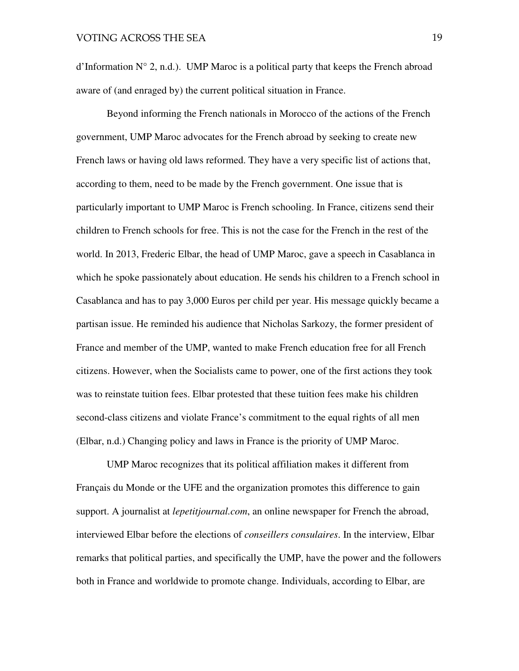d'Information  $N^{\circ}$  2, n.d.). UMP Maroc is a political party that keeps the French abroad aware of (and enraged by) the current political situation in France.

Beyond informing the French nationals in Morocco of the actions of the French government, UMP Maroc advocates for the French abroad by seeking to create new French laws or having old laws reformed. They have a very specific list of actions that, according to them, need to be made by the French government. One issue that is particularly important to UMP Maroc is French schooling. In France, citizens send their children to French schools for free. This is not the case for the French in the rest of the world. In 2013, Frederic Elbar, the head of UMP Maroc, gave a speech in Casablanca in which he spoke passionately about education. He sends his children to a French school in Casablanca and has to pay 3,000 Euros per child per year. His message quickly became a partisan issue. He reminded his audience that Nicholas Sarkozy, the former president of France and member of the UMP, wanted to make French education free for all French citizens. However, when the Socialists came to power, one of the first actions they took was to reinstate tuition fees. Elbar protested that these tuition fees make his children second-class citizens and violate France's commitment to the equal rights of all men (Elbar, n.d.) Changing policy and laws in France is the priority of UMP Maroc.

UMP Maroc recognizes that its political affiliation makes it different from Français du Monde or the UFE and the organization promotes this difference to gain support. A journalist at *lepetitjournal.com*, an online newspaper for French the abroad, interviewed Elbar before the elections of *conseillers consulaires*. In the interview, Elbar remarks that political parties, and specifically the UMP, have the power and the followers both in France and worldwide to promote change. Individuals, according to Elbar, are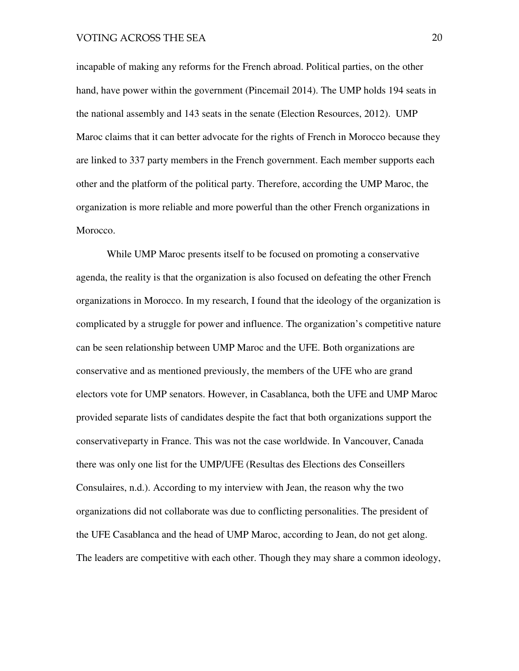incapable of making any reforms for the French abroad. Political parties, on the other hand, have power within the government (Pincemail 2014). The UMP holds 194 seats in the national assembly and 143 seats in the senate (Election Resources, 2012). UMP Maroc claims that it can better advocate for the rights of French in Morocco because they are linked to 337 party members in the French government. Each member supports each other and the platform of the political party. Therefore, according the UMP Maroc, the organization is more reliable and more powerful than the other French organizations in Morocco.

While UMP Maroc presents itself to be focused on promoting a conservative agenda, the reality is that the organization is also focused on defeating the other French organizations in Morocco. In my research, I found that the ideology of the organization is complicated by a struggle for power and influence. The organization's competitive nature can be seen relationship between UMP Maroc and the UFE. Both organizations are conservative and as mentioned previously, the members of the UFE who are grand electors vote for UMP senators. However, in Casablanca, both the UFE and UMP Maroc provided separate lists of candidates despite the fact that both organizations support the conservativeparty in France. This was not the case worldwide. In Vancouver, Canada there was only one list for the UMP/UFE (Resultas des Elections des Conseillers Consulaires, n.d.). According to my interview with Jean, the reason why the two organizations did not collaborate was due to conflicting personalities. The president of the UFE Casablanca and the head of UMP Maroc, according to Jean, do not get along. The leaders are competitive with each other. Though they may share a common ideology,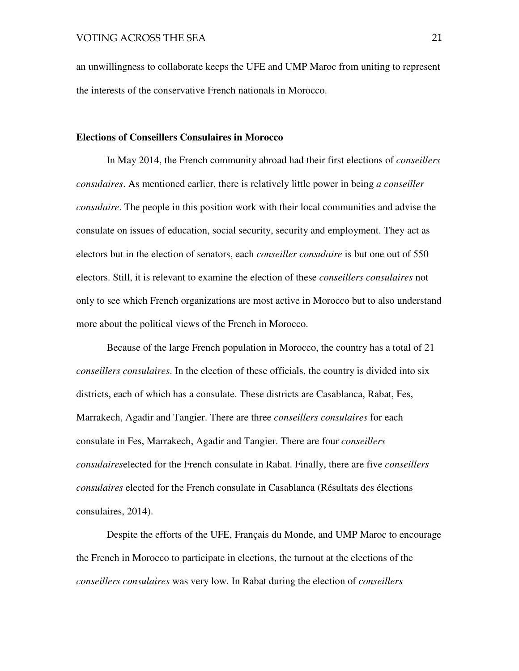an unwillingness to collaborate keeps the UFE and UMP Maroc from uniting to represent the interests of the conservative French nationals in Morocco.

#### **Elections of Conseillers Consulaires in Morocco**

In May 2014, the French community abroad had their first elections of *conseillers consulaires*. As mentioned earlier, there is relatively little power in being *a conseiller consulaire*. The people in this position work with their local communities and advise the consulate on issues of education, social security, security and employment. They act as electors but in the election of senators, each *conseiller consulaire* is but one out of 550 electors. Still, it is relevant to examine the election of these *conseillers consulaires* not only to see which French organizations are most active in Morocco but to also understand more about the political views of the French in Morocco.

Because of the large French population in Morocco, the country has a total of 21 *conseillers consulaires*. In the election of these officials, the country is divided into six districts, each of which has a consulate. These districts are Casablanca, Rabat, Fes, Marrakech, Agadir and Tangier. There are three *conseillers consulaires* for each consulate in Fes, Marrakech, Agadir and Tangier. There are four *conseillers consulaires*elected for the French consulate in Rabat. Finally, there are five *conseillers consulaires* elected for the French consulate in Casablanca (Résultats des élections consulaires, 2014).

Despite the efforts of the UFE, Français du Monde, and UMP Maroc to encourage the French in Morocco to participate in elections, the turnout at the elections of the *conseillers consulaires* was very low. In Rabat during the election of *conseillers*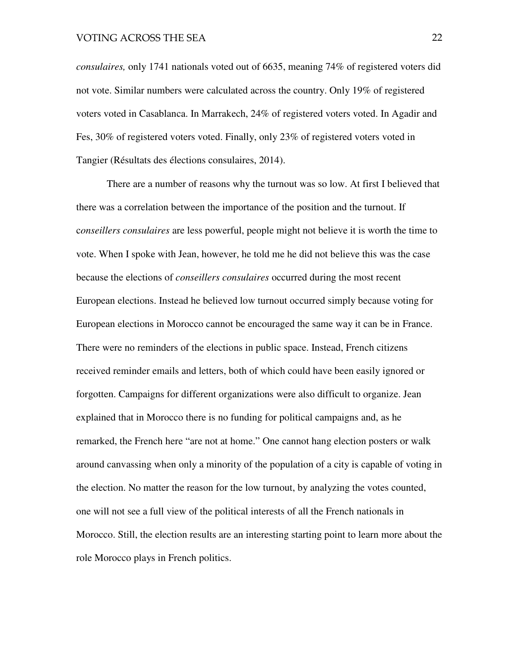*consulaires,* only 1741 nationals voted out of 6635, meaning 74% of registered voters did not vote. Similar numbers were calculated across the country. Only 19% of registered voters voted in Casablanca. In Marrakech, 24% of registered voters voted. In Agadir and Fes, 30% of registered voters voted. Finally, only 23% of registered voters voted in Tangier (Résultats des élections consulaires, 2014).

There are a number of reasons why the turnout was so low. At first I believed that there was a correlation between the importance of the position and the turnout. If c*onseillers consulaires* are less powerful, people might not believe it is worth the time to vote. When I spoke with Jean, however, he told me he did not believe this was the case because the elections of *conseillers consulaires* occurred during the most recent European elections. Instead he believed low turnout occurred simply because voting for European elections in Morocco cannot be encouraged the same way it can be in France. There were no reminders of the elections in public space. Instead, French citizens received reminder emails and letters, both of which could have been easily ignored or forgotten. Campaigns for different organizations were also difficult to organize. Jean explained that in Morocco there is no funding for political campaigns and, as he remarked, the French here "are not at home." One cannot hang election posters or walk around canvassing when only a minority of the population of a city is capable of voting in the election. No matter the reason for the low turnout, by analyzing the votes counted, one will not see a full view of the political interests of all the French nationals in Morocco. Still, the election results are an interesting starting point to learn more about the role Morocco plays in French politics.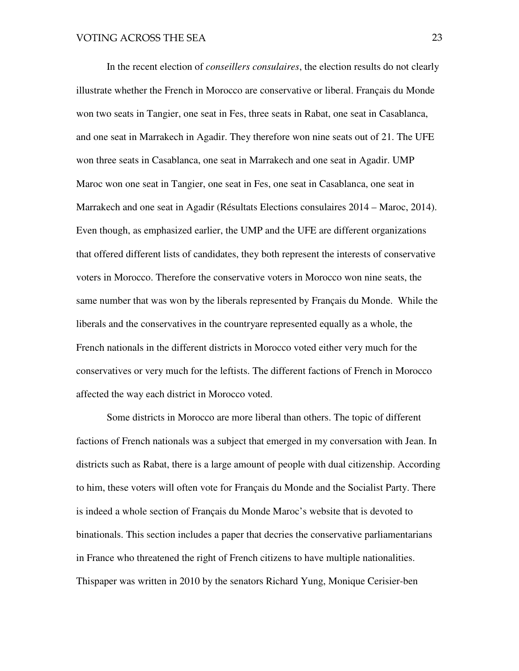In the recent election of *conseillers consulaires*, the election results do not clearly illustrate whether the French in Morocco are conservative or liberal. Français du Monde won two seats in Tangier, one seat in Fes, three seats in Rabat, one seat in Casablanca, and one seat in Marrakech in Agadir. They therefore won nine seats out of 21. The UFE won three seats in Casablanca, one seat in Marrakech and one seat in Agadir. UMP Maroc won one seat in Tangier, one seat in Fes, one seat in Casablanca, one seat in Marrakech and one seat in Agadir (Résultats Elections consulaires 2014 – Maroc, 2014). Even though, as emphasized earlier, the UMP and the UFE are different organizations that offered different lists of candidates, they both represent the interests of conservative voters in Morocco. Therefore the conservative voters in Morocco won nine seats, the same number that was won by the liberals represented by Français du Monde. While the liberals and the conservatives in the countryare represented equally as a whole, the French nationals in the different districts in Morocco voted either very much for the conservatives or very much for the leftists. The different factions of French in Morocco affected the way each district in Morocco voted.

Some districts in Morocco are more liberal than others. The topic of different factions of French nationals was a subject that emerged in my conversation with Jean. In districts such as Rabat, there is a large amount of people with dual citizenship. According to him, these voters will often vote for Français du Monde and the Socialist Party. There is indeed a whole section of Français du Monde Maroc's website that is devoted to binationals. This section includes a paper that decries the conservative parliamentarians in France who threatened the right of French citizens to have multiple nationalities. Thispaper was written in 2010 by the senators Richard Yung, Monique Cerisier-ben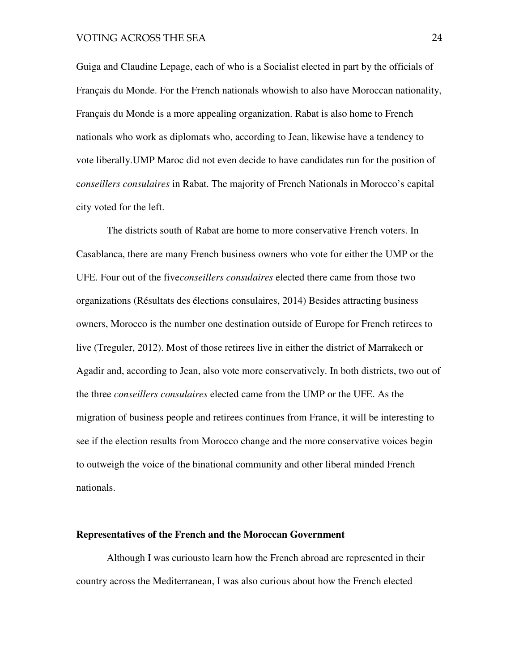Guiga and Claudine Lepage, each of who is a Socialist elected in part by the officials of Français du Monde. For the French nationals whowish to also have Moroccan nationality, Français du Monde is a more appealing organization. Rabat is also home to French nationals who work as diplomats who, according to Jean, likewise have a tendency to vote liberally.UMP Maroc did not even decide to have candidates run for the position of c*onseillers consulaires* in Rabat. The majority of French Nationals in Morocco's capital city voted for the left.

The districts south of Rabat are home to more conservative French voters. In Casablanca, there are many French business owners who vote for either the UMP or the UFE. Four out of the five*conseillers consulaires* elected there came from those two organizations (Résultats des élections consulaires, 2014) Besides attracting business owners, Morocco is the number one destination outside of Europe for French retirees to live (Treguler, 2012). Most of those retirees live in either the district of Marrakech or Agadir and, according to Jean, also vote more conservatively. In both districts, two out of the three *conseillers consulaires* elected came from the UMP or the UFE. As the migration of business people and retirees continues from France, it will be interesting to see if the election results from Morocco change and the more conservative voices begin to outweigh the voice of the binational community and other liberal minded French nationals.

#### **Representatives of the French and the Moroccan Government**

 Although I was curiousto learn how the French abroad are represented in their country across the Mediterranean, I was also curious about how the French elected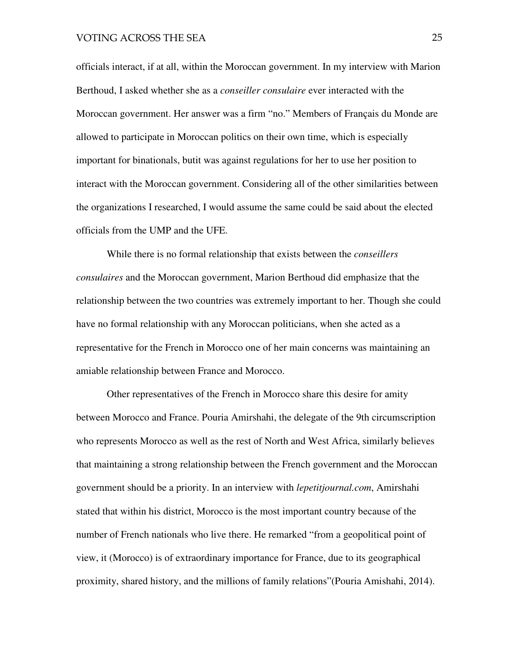officials interact, if at all, within the Moroccan government. In my interview with Marion Berthoud, I asked whether she as a *conseiller consulaire* ever interacted with the Moroccan government. Her answer was a firm "no." Members of Français du Monde are allowed to participate in Moroccan politics on their own time, which is especially important for binationals, butit was against regulations for her to use her position to interact with the Moroccan government. Considering all of the other similarities between the organizations I researched, I would assume the same could be said about the elected officials from the UMP and the UFE.

 While there is no formal relationship that exists between the *conseillers consulaires* and the Moroccan government, Marion Berthoud did emphasize that the relationship between the two countries was extremely important to her. Though she could have no formal relationship with any Moroccan politicians, when she acted as a representative for the French in Morocco one of her main concerns was maintaining an amiable relationship between France and Morocco.

Other representatives of the French in Morocco share this desire for amity between Morocco and France. Pouria Amirshahi, the delegate of the 9th circumscription who represents Morocco as well as the rest of North and West Africa, similarly believes that maintaining a strong relationship between the French government and the Moroccan government should be a priority. In an interview with *lepetitjournal.com*, Amirshahi stated that within his district, Morocco is the most important country because of the number of French nationals who live there. He remarked "from a geopolitical point of view, it (Morocco) is of extraordinary importance for France, due to its geographical proximity, shared history, and the millions of family relations"(Pouria Amishahi, 2014).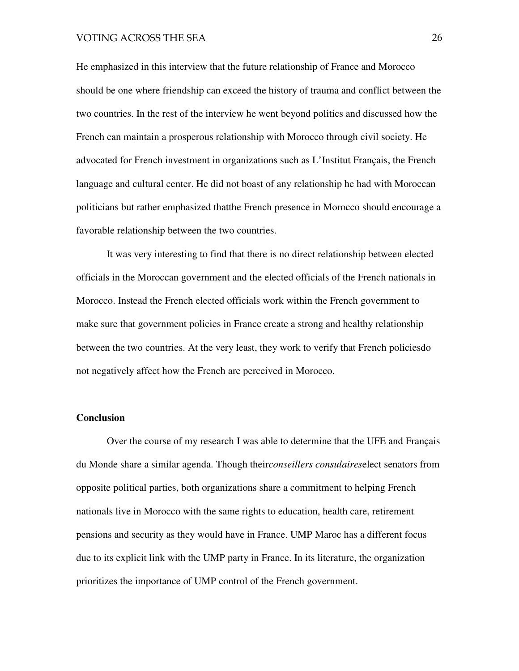He emphasized in this interview that the future relationship of France and Morocco should be one where friendship can exceed the history of trauma and conflict between the two countries. In the rest of the interview he went beyond politics and discussed how the French can maintain a prosperous relationship with Morocco through civil society. He advocated for French investment in organizations such as L'Institut Français, the French language and cultural center. He did not boast of any relationship he had with Moroccan politicians but rather emphasized thatthe French presence in Morocco should encourage a favorable relationship between the two countries.

It was very interesting to find that there is no direct relationship between elected officials in the Moroccan government and the elected officials of the French nationals in Morocco. Instead the French elected officials work within the French government to make sure that government policies in France create a strong and healthy relationship between the two countries. At the very least, they work to verify that French policiesdo not negatively affect how the French are perceived in Morocco.

#### **Conclusion**

Over the course of my research I was able to determine that the UFE and Français du Monde share a similar agenda. Though their*conseillers consulaires*elect senators from opposite political parties, both organizations share a commitment to helping French nationals live in Morocco with the same rights to education, health care, retirement pensions and security as they would have in France. UMP Maroc has a different focus due to its explicit link with the UMP party in France. In its literature, the organization prioritizes the importance of UMP control of the French government.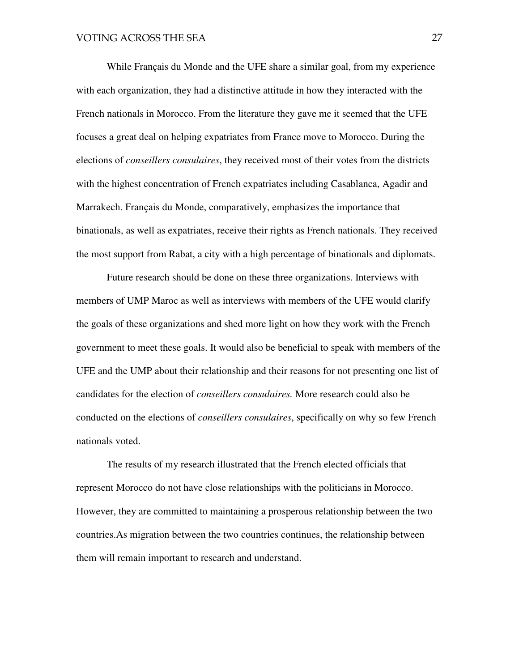While Français du Monde and the UFE share a similar goal, from my experience with each organization, they had a distinctive attitude in how they interacted with the French nationals in Morocco. From the literature they gave me it seemed that the UFE focuses a great deal on helping expatriates from France move to Morocco. During the elections of *conseillers consulaires*, they received most of their votes from the districts with the highest concentration of French expatriates including Casablanca, Agadir and Marrakech. Français du Monde, comparatively, emphasizes the importance that binationals, as well as expatriates, receive their rights as French nationals. They received the most support from Rabat, a city with a high percentage of binationals and diplomats.

 Future research should be done on these three organizations. Interviews with members of UMP Maroc as well as interviews with members of the UFE would clarify the goals of these organizations and shed more light on how they work with the French government to meet these goals. It would also be beneficial to speak with members of the UFE and the UMP about their relationship and their reasons for not presenting one list of candidates for the election of *conseillers consulaires.* More research could also be conducted on the elections of *conseillers consulaires*, specifically on why so few French nationals voted.

The results of my research illustrated that the French elected officials that represent Morocco do not have close relationships with the politicians in Morocco. However, they are committed to maintaining a prosperous relationship between the two countries.As migration between the two countries continues, the relationship between them will remain important to research and understand.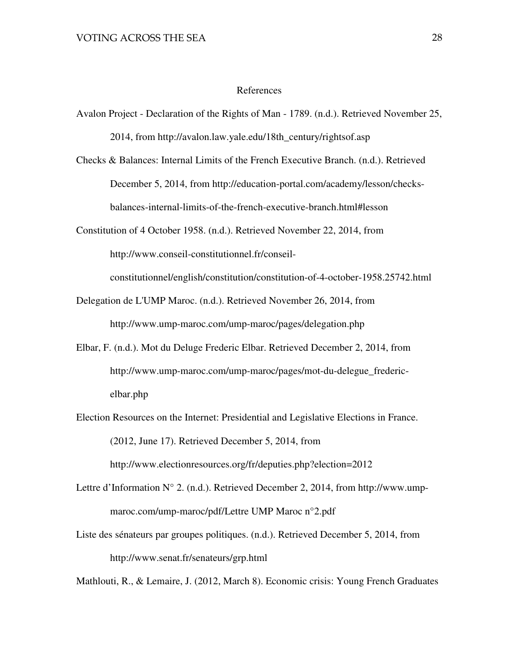#### References

- Avalon Project Declaration of the Rights of Man 1789. (n.d.). Retrieved November 25, 2014, from http://avalon.law.yale.edu/18th\_century/rightsof.asp
- Checks & Balances: Internal Limits of the French Executive Branch. (n.d.). Retrieved December 5, 2014, from http://education-portal.com/academy/lesson/checksbalances-internal-limits-of-the-french-executive-branch.html#lesson
- Constitution of 4 October 1958. (n.d.). Retrieved November 22, 2014, from http://www.conseil-constitutionnel.fr/conseil-

constitutionnel/english/constitution/constitution-of-4-october-1958.25742.html

- Delegation de L'UMP Maroc. (n.d.). Retrieved November 26, 2014, from http://www.ump-maroc.com/ump-maroc/pages/delegation.php
- Elbar, F. (n.d.). Mot du Deluge Frederic Elbar. Retrieved December 2, 2014, from http://www.ump-maroc.com/ump-maroc/pages/mot-du-delegue fredericelbar.php
- Election Resources on the Internet: Presidential and Legislative Elections in France. (2012, June 17). Retrieved December 5, 2014, from http://www.electionresources.org/fr/deputies.php?election=2012
- Lettre d'Information N° 2. (n.d.). Retrieved December 2, 2014, from http://www.umpmaroc.com/ump-maroc/pdf/Lettre UMP Maroc n°2.pdf
- Liste des sénateurs par groupes politiques. (n.d.). Retrieved December 5, 2014, from http://www.senat.fr/senateurs/grp.html

Mathlouti, R., & Lemaire, J. (2012, March 8). Economic crisis: Young French Graduates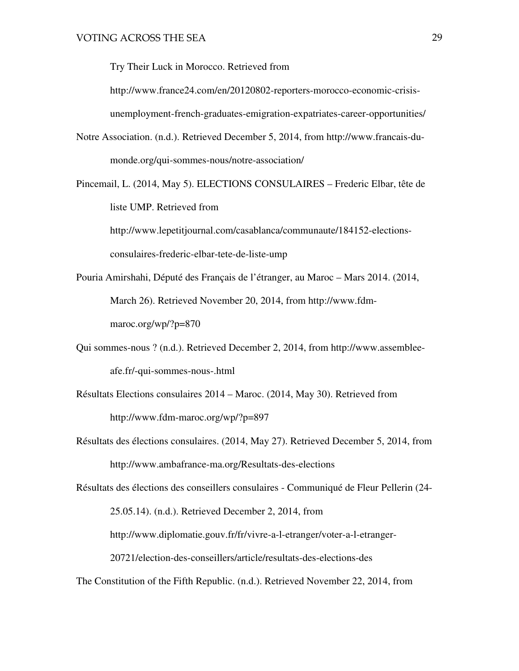Try Their Luck in Morocco. Retrieved from

http://www.france24.com/en/20120802-reporters-morocco-economic-crisisunemployment-french-graduates-emigration-expatriates-career-opportunities/

- Notre Association. (n.d.). Retrieved December 5, 2014, from http://www.francais-dumonde.org/qui-sommes-nous/notre-association/
- Pincemail, L. (2014, May 5). ELECTIONS CONSULAIRES Frederic Elbar, tête de liste UMP. Retrieved from

http://www.lepetitjournal.com/casablanca/communaute/184152-electionsconsulaires-frederic-elbar-tete-de-liste-ump

- Pouria Amirshahi, Député des Français de l'étranger, au Maroc Mars 2014. (2014, March 26). Retrieved November 20, 2014, from http://www.fdmmaroc.org/wp/?p=870
- Qui sommes-nous ? (n.d.). Retrieved December 2, 2014, from http://www.assembleeafe.fr/-qui-sommes-nous-.html
- Résultats Elections consulaires 2014 Maroc. (2014, May 30). Retrieved from http://www.fdm-maroc.org/wp/?p=897
- Résultats des élections consulaires. (2014, May 27). Retrieved December 5, 2014, from http://www.ambafrance-ma.org/Resultats-des-elections

Résultats des élections des conseillers consulaires - Communiqué de Fleur Pellerin (24- 25.05.14). (n.d.). Retrieved December 2, 2014, from http://www.diplomatie.gouv.fr/fr/vivre-a-l-etranger/voter-a-l-etranger-20721/election-des-conseillers/article/resultats-des-elections-des

The Constitution of the Fifth Republic. (n.d.). Retrieved November 22, 2014, from